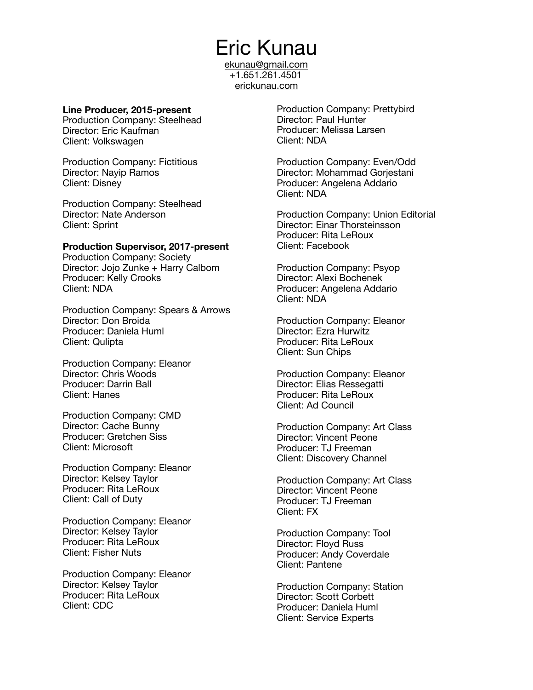[ekunau@gmail.com](mailto:ekunau@gmail.com) +1.651.261.4501 [erickunau.com](http://erickunau.com)

#### **Line Producer, 2015-present**

Production Company: Steelhead Director: Eric Kaufman Client: Volkswagen

Production Company: Fictitious Director: Nayip Ramos Client: Disney

Production Company: Steelhead Director: Nate Anderson Client: Sprint

#### **Production Supervisor, 2017-present**

Production Company: Society Director: Jojo Zunke + Harry Calbom Producer: Kelly Crooks Client: NDA

Production Company: Spears & Arrows Director: Don Broida Producer: Daniela Huml Client: Qulipta

Production Company: Eleanor Director: Chris Woods Producer: Darrin Ball Client: Hanes

Production Company: CMD Director: Cache Bunny Producer: Gretchen Siss Client: Microsoft

Production Company: Eleanor Director: Kelsey Taylor Producer: Rita LeRoux Client: Call of Duty

Production Company: Eleanor Director: Kelsey Taylor Producer: Rita LeRoux Client: Fisher Nuts

Production Company: Eleanor Director: Kelsey Taylor Producer: Rita LeRoux Client: CDC

Production Company: Prettybird Director: Paul Hunter Producer: Melissa Larsen Client: NDA

Production Company: Even/Odd Director: Mohammad Gorjestani Producer: Angelena Addario Client: NDA

Production Company: Union Editorial Director: [Einar Thorsteinsson](https://allpeople.com/einar+thorsteinsson_union-editorial-ny-llc-us) Producer: Rita LeRoux Client: Facebook

Production Company: Psyop Director: Alexi Bochenek Producer: Angelena Addario Client: NDA

Production Company: Eleanor Director: Ezra Hurwitz Producer: Rita LeRoux Client: Sun Chips

Production Company: Eleanor Director: Elias Ressegatti Producer: Rita LeRoux Client: Ad Council

Production Company: Art Class Director: Vincent Peone Producer: TJ Freeman Client: Discovery Channel

Production Company: Art Class Director: Vincent Peone Producer: TJ Freeman Client: FX

Production Company: Tool Director: Floyd Russ Producer: Andy Coverdale Client: Pantene

Production Company: Station Director: Scott Corbett Producer: Daniela Huml Client: Service Experts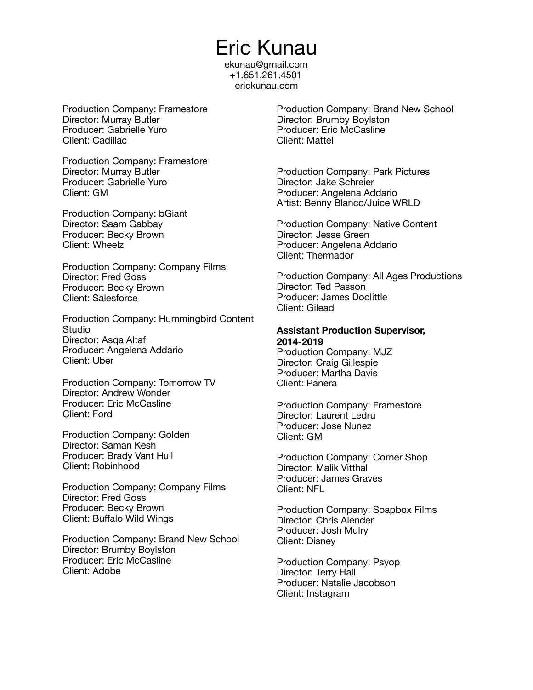[ekunau@gmail.com](mailto:ekunau@gmail.com) +1.651.261.4501 [erickunau.com](http://erickunau.com)

Production Company: Framestore Director: Murray Butler Producer: Gabrielle Yuro Client: Cadillac

Production Company: Framestore Director: Murray Butler Producer: Gabrielle Yuro Client: GM

Production Company: bGiant Director: Saam Gabbay Producer: Becky Brown Client: Wheelz

Production Company: Company Films Director: Fred Goss Producer: Becky Brown Client: Salesforce

Production Company: Hummingbird Content **Studio** Director: Asqa Altaf Producer: Angelena Addario Client: Uber

Production Company: Tomorrow TV Director: Andrew Wonder Producer: Eric McCasline Client: Ford

Production Company: Golden Director: Saman Kesh Producer: Brady Vant Hull Client: Robinhood

Production Company: Company Films Director: Fred Goss Producer: Becky Brown Client: Buffalo Wild Wings

Production Company: Brand New School Director: Brumby Boylston Producer: Eric McCasline Client: Adobe

Production Company: Brand New School Director: Brumby Boylston Producer: Eric McCasline Client: Mattel

Production Company: Park Pictures Director: Jake Schreier Producer: Angelena Addario Artist: Benny Blanco/Juice WRLD

Production Company: Native Content Director: Jesse Green Producer: Angelena Addario Client: Thermador

Production Company: All Ages Productions Director: Ted Passon Producer: James Doolittle Client: Gilead

#### **Assistant Production Supervisor, 2014-2019**

Production Company: MJZ Director: Craig Gillespie Producer: Martha Davis Client: Panera

Production Company: Framestore Director: Laurent Ledru Producer: Jose Nunez Client: GM

Production Company: Corner Shop Director: Malik Vitthal Producer: James Graves Client: NFL

Production Company: Soapbox Films Director: Chris Alender Producer: Josh Mulry Client: Disney

Production Company: Psyop Director: Terry Hall Producer: Natalie Jacobson Client: Instagram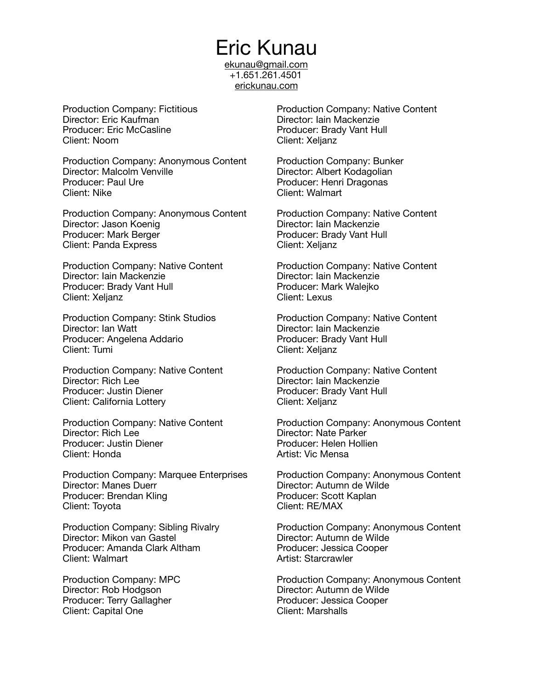[ekunau@gmail.com](mailto:ekunau@gmail.com) +1.651.261.4501 [erickunau.com](http://erickunau.com)

Production Company: Fictitious Director: Eric Kaufman Producer: Eric McCasline Client: Noom

Production Company: Anonymous Content Director: Malcolm Venville Producer: Paul Ure Client: Nike

Production Company: Anonymous Content Director: Jason Koenig Producer: Mark Berger Client: Panda Express

Production Company: Native Content Director: Iain Mackenzie Producer: Brady Vant Hull Client: Xeljanz

Production Company: Stink Studios Director: Ian Watt Producer: Angelena Addario Client: Tumi

Production Company: Native Content Director: Rich Lee Producer: Justin Diener Client: California Lottery

Production Company: Native Content Director: Rich Lee Producer: Justin Diener Client: Honda

Production Company: Marquee Enterprises Director: Manes Duerr Producer: Brendan Kling Client: Toyota

Production Company: Sibling Rivalry Director: Mikon van Gastel Producer: Amanda Clark Altham Client: Walmart

Production Company: MPC Director: Rob Hodgson Producer: Terry Gallagher Client: Capital One

Production Company: Native Content Director: Iain Mackenzie Producer: Brady Vant Hull Client: Xeljanz

Production Company: Bunker Director: Albert Kodagolian Producer: Henri Dragonas Client: Walmart

Production Company: Native Content Director: Iain Mackenzie Producer: Brady Vant Hull Client: Xeljanz

Production Company: Native Content Director: Iain Mackenzie Producer: Mark Walejko Client: Lexus

Production Company: Native Content Director: Iain Mackenzie Producer: Brady Vant Hull Client: Xeljanz

Production Company: Native Content Director: Iain Mackenzie Producer: Brady Vant Hull Client: Xeljanz

Production Company: Anonymous Content Director: Nate Parker Producer: Helen Hollien Artist: Vic Mensa

Production Company: Anonymous Content Director: Autumn de Wilde Producer: Scott Kaplan Client: RE/MAX

Production Company: Anonymous Content Director: Autumn de Wilde Producer: Jessica Cooper Artist: Starcrawler

Production Company: Anonymous Content Director: Autumn de Wilde Producer: Jessica Cooper Client: Marshalls